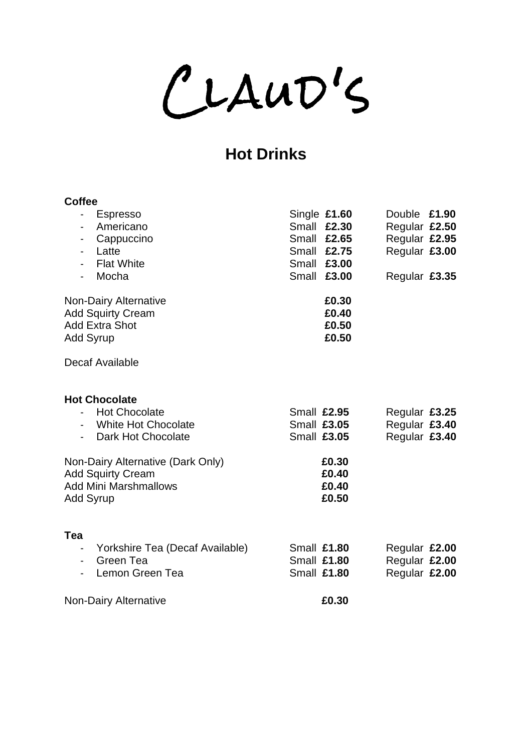CLAUD'S

# **Hot Drinks**

| <b>Coffee</b><br><b>Espresso</b><br>$\overline{\phantom{a}}$<br>Americano<br>$\overline{\phantom{a}}$<br>Cappuccino<br>-<br>Latte<br>$\overline{\phantom{0}}$<br><b>Flat White</b><br>Mocha<br>$\overline{\phantom{a}}$         | Single £1.60<br>Double £1.90<br><b>Small £2.30</b><br>Regular £2.50<br>Regular £2.95<br><b>Small £2.65</b><br>Small £2.75<br>Regular £3.00<br><b>Small £3.00</b><br><b>Small £3,00</b><br>Regular £3.35 |
|---------------------------------------------------------------------------------------------------------------------------------------------------------------------------------------------------------------------------------|---------------------------------------------------------------------------------------------------------------------------------------------------------------------------------------------------------|
| Non-Dairy Alternative<br><b>Add Squirty Cream</b><br><b>Add Extra Shot</b><br><b>Add Syrup</b><br>Decaf Available                                                                                                               | £0.30<br>£0.40<br>£0.50<br>£0.50                                                                                                                                                                        |
| <b>Hot Chocolate</b><br><b>Hot Chocolate</b><br><b>White Hot Chocolate</b><br>$\sim$<br>Dark Hot Chocolate<br>Non-Dairy Alternative (Dark Only)<br><b>Add Squirty Cream</b><br><b>Add Mini Marshmallows</b><br><b>Add Syrup</b> | Small £2.95<br>Regular £3.25<br>Regular £3.40<br><b>Small £3.05</b><br>Regular £3.40<br><b>Small £3.05</b><br>£0.30<br>£0.40<br>£0.40<br>£0.50                                                          |
| Tea<br>Yorkshire Tea (Decaf Available)<br>$\blacksquare$<br>Green Tea<br>$\overline{\phantom{0}}$<br>Lemon Green Tea<br><b>Non-Dairy Alternative</b>                                                                            | <b>Small £1.80</b><br>Regular £2.00<br><b>Small £1.80</b><br>Regular £2.00<br><b>Small £1.80</b><br>Regular £2.00<br>£0.30                                                                              |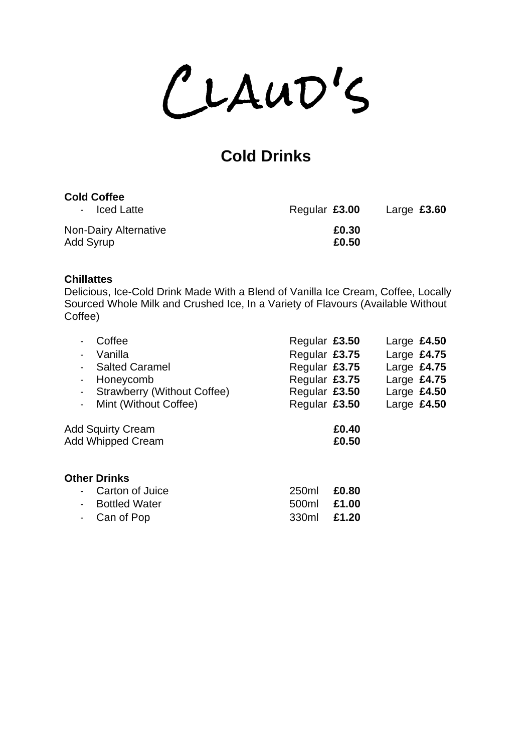$CLAUD'S$ 

# **Cold Drinks**

## **Cold Coffee**

| - Iced Latte                       | Regular £3.00  | Large $£3.60$ |
|------------------------------------|----------------|---------------|
| Non-Dairy Alternative<br>Add Syrup | £0.30<br>£0.50 |               |

## **Chillattes**

Delicious, Ice-Cold Drink Made With a Blend of Vanilla Ice Cream, Coffee, Locally Sourced Whole Milk and Crushed Ice, In a Variety of Flavours (Available Without Coffee)

| Coffee<br>Vanilla<br><b>Salted Caramel</b><br>Honeycomb<br>$\overline{\phantom{a}}$<br>Strawberry (Without Coffee)<br>$\blacksquare$<br>Mint (Without Coffee)<br>$\blacksquare$ | Regular £3.50<br>Regular £3.75<br>Regular £3.75<br>Regular £3.75<br>Regular £3.50<br>Regular £3.50 |                         | Large $£4.50$<br>Large $£4.75$<br>Large $£4.75$<br>Large $£4.75$<br>Large $£4.50$<br>Large $£4.50$ |  |
|---------------------------------------------------------------------------------------------------------------------------------------------------------------------------------|----------------------------------------------------------------------------------------------------|-------------------------|----------------------------------------------------------------------------------------------------|--|
| <b>Add Squirty Cream</b><br><b>Add Whipped Cream</b>                                                                                                                            |                                                                                                    | £0.40<br>£0.50          |                                                                                                    |  |
| <b>Other Drinks</b><br>Carton of Juice<br><b>Bottled Water</b><br>Can of Pop                                                                                                    | 250ml<br>500ml<br>330ml                                                                            | £0.80<br>£1.00<br>£1.20 |                                                                                                    |  |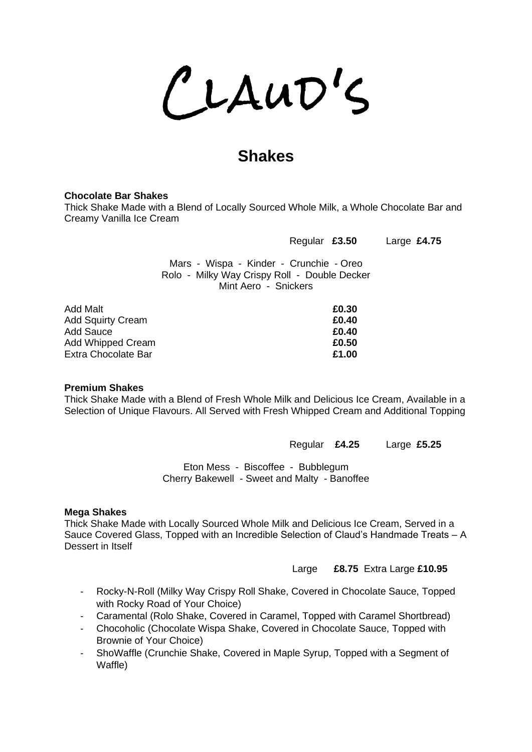$CLAUD'S$ 

## **Shakes**

### **Chocolate Bar Shakes**

Thick Shake Made with a Blend of Locally Sourced Whole Milk, a Whole Chocolate Bar and Creamy Vanilla Ice Cream

| Regular £3.50 |  | Large £4.75 |  |
|---------------|--|-------------|--|
|---------------|--|-------------|--|

Mars - Wispa - Kinder - Crunchie - Oreo Rolo - Milky Way Crispy Roll - Double Decker Mint Aero - Snickers

| Add Malt                 | £0.30 |
|--------------------------|-------|
| <b>Add Squirty Cream</b> | £0.40 |
|                          |       |
| Add Sauce                | £0.40 |
| Add Whipped Cream        | £0.50 |
| Extra Chocolate Bar      | £1.00 |

### **Premium Shakes**

Thick Shake Made with a Blend of Fresh Whole Milk and Delicious Ice Cream, Available in a Selection of Unique Flavours. All Served with Fresh Whipped Cream and Additional Topping

Regular **£4.25** Large **£5.25**

Eton Mess - Biscoffee - Bubblegum Cherry Bakewell - Sweet and Malty - Banoffee

### **Mega Shakes**

Thick Shake Made with Locally Sourced Whole Milk and Delicious Ice Cream, Served in a Sauce Covered Glass, Topped with an Incredible Selection of Claud's Handmade Treats – A Dessert in Itself

Large **£8.75** Extra Large **£10.95**

- Rocky-N-Roll (Milky Way Crispy Roll Shake, Covered in Chocolate Sauce, Topped with Rocky Road of Your Choice)
- Caramental (Rolo Shake, Covered in Caramel, Topped with Caramel Shortbread)
- Chocoholic (Chocolate Wispa Shake, Covered in Chocolate Sauce, Topped with Brownie of Your Choice)
- ShoWaffle (Crunchie Shake, Covered in Maple Syrup, Topped with a Segment of Waffle)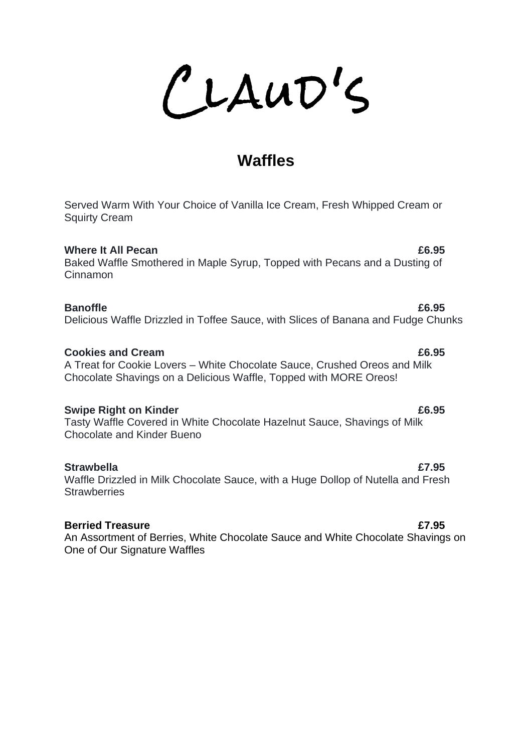LAUD'S

## **Waffles**

Served Warm With Your Choice of Vanilla Ice Cream, Fresh Whipped Cream or Squirty Cream

**Where It All Pecan E6.95** Baked Waffle Smothered in Maple Syrup, Topped with Pecans and a Dusting of Cinnamon

## **Banoffle E6.95**

### Delicious Waffle Drizzled in Toffee Sauce, with Slices of Banana and Fudge Chunks

### **Cookies and Cream £6.95**

A Treat for Cookie Lovers – White Chocolate Sauce, Crushed Oreos and Milk Chocolate Shavings on a Delicious Waffle, Topped with MORE Oreos!

### **Swipe Right on Kinder** <br> **E6.95**

Tasty Waffle Covered in White Chocolate Hazelnut Sauce, Shavings of Milk Chocolate and Kinder Bueno

### **Strawbella £7.95**

Waffle Drizzled in Milk Chocolate Sauce, with a Huge Dollop of Nutella and Fresh **Strawberries** 

### **Berried Treasure £7.95**

An Assortment of Berries, White Chocolate Sauce and White Chocolate Shavings on One of Our Signature Waffles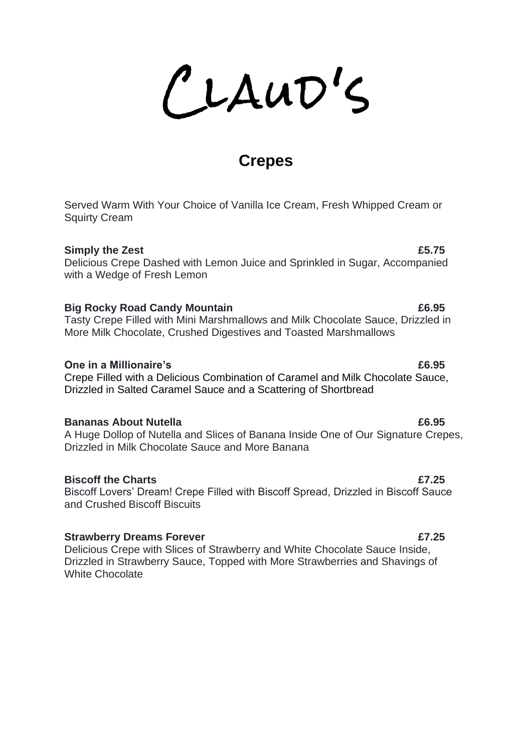LLAUD'S

## **Crepes**

Served Warm With Your Choice of Vanilla Ice Cream, Fresh Whipped Cream or Squirty Cream

## **Simply the Zest** <br>**Simply the Zest**

Delicious Crepe Dashed with Lemon Juice and Sprinkled in Sugar, Accompanied with a Wedge of Fresh Lemon

### **Big Rocky Road Candy Mountain £6.95**

Tasty Crepe Filled with Mini Marshmallows and Milk Chocolate Sauce, Drizzled in More Milk Chocolate, Crushed Digestives and Toasted Marshmallows

### **One in a Millionaire's E6.95**

Crepe Filled with a Delicious Combination of Caramel and Milk Chocolate Sauce, Drizzled in Salted Caramel Sauce and a Scattering of Shortbread

### **Bananas About Nutella £6.95**

A Huge Dollop of Nutella and Slices of Banana Inside One of Our Signature Crepes, Drizzled in Milk Chocolate Sauce and More Banana

### **Biscoff the Charts £7.25**

Biscoff Lovers' Dream! Crepe Filled with Biscoff Spread, Drizzled in Biscoff Sauce and Crushed Biscoff Biscuits

### **Strawberry Dreams Forever £7.25**

Delicious Crepe with Slices of Strawberry and White Chocolate Sauce Inside, Drizzled in Strawberry Sauce, Topped with More Strawberries and Shavings of White Chocolate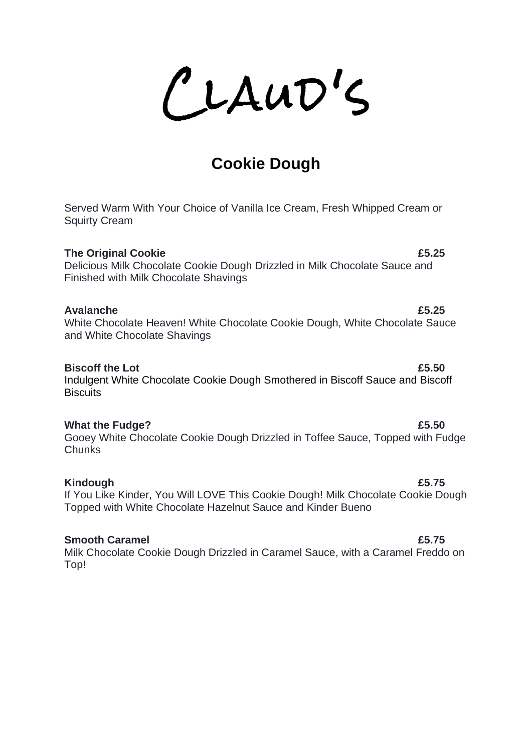LAUD'S

# **Cookie Dough**

Served Warm With Your Choice of Vanilla Ice Cream, Fresh Whipped Cream or Squirty Cream

### **The Original Cookie <b>E5.25**

Delicious Milk Chocolate Cookie Dough Drizzled in Milk Chocolate Sauce and Finished with Milk Chocolate Shavings

### **Avalanche £5.25**

White Chocolate Heaven! White Chocolate Cookie Dough, White Chocolate Sauce and White Chocolate Shavings

### **Biscoff the Lot E5.50**

Indulgent White Chocolate Cookie Dough Smothered in Biscoff Sauce and Biscoff **Biscuits** 

### **What the Fudge? £5.50**

Gooey White Chocolate Cookie Dough Drizzled in Toffee Sauce, Topped with Fudge Chunks

## **Kindough £5.75**

If You Like Kinder, You Will LOVE This Cookie Dough! Milk Chocolate Cookie Dough Topped with White Chocolate Hazelnut Sauce and Kinder Bueno

## **Smooth Caramel £5.75**

Milk Chocolate Cookie Dough Drizzled in Caramel Sauce, with a Caramel Freddo on Top!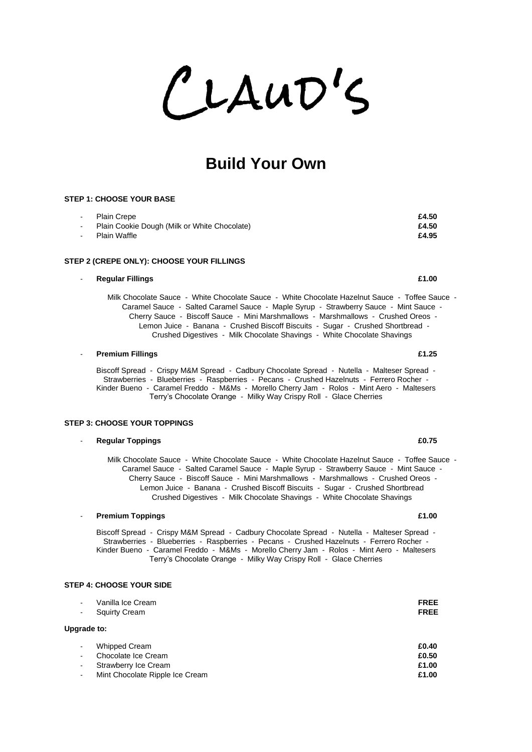LAUD'S

## **Build Your Own**

### **STEP 1: CHOOSE YOUR BASE**

| - Plain Crepe                                  | £4.50 |
|------------------------------------------------|-------|
| - Plain Cookie Dough (Milk or White Chocolate) | £4.50 |
| - Plain Waffle                                 | £4.95 |

### **STEP 2 (CREPE ONLY): CHOOSE YOUR FILLINGS**

### - **Regular Fillings £1.00**

Milk Chocolate Sauce - White Chocolate Sauce - White Chocolate Hazelnut Sauce - Toffee Sauce - Caramel Sauce - Salted Caramel Sauce - Maple Syrup - Strawberry Sauce - Mint Sauce - Cherry Sauce - Biscoff Sauce - Mini Marshmallows - Marshmallows - Crushed Oreos - Lemon Juice - Banana - Crushed Biscoff Biscuits - Sugar - Crushed Shortbread - Crushed Digestives - Milk Chocolate Shavings - White Chocolate Shavings

### - **Premium Fillings £1.25**

Biscoff Spread - Crispy M&M Spread - Cadbury Chocolate Spread - Nutella - Malteser Spread - Strawberries - Blueberries - Raspberries - Pecans - Crushed Hazelnuts - Ferrero Rocher - Kinder Bueno - Caramel Freddo - M&Ms - Morello Cherry Jam - Rolos - Mint Aero - Maltesers Terry's Chocolate Orange - Milky Way Crispy Roll - Glace Cherries

### **STEP 3: CHOOSE YOUR TOPPINGS**

### - **Regular Toppings £0.75**

Milk Chocolate Sauce - White Chocolate Sauce - White Chocolate Hazelnut Sauce - Toffee Sauce - Caramel Sauce - Salted Caramel Sauce - Maple Syrup - Strawberry Sauce - Mint Sauce - Cherry Sauce - Biscoff Sauce - Mini Marshmallows - Marshmallows - Crushed Oreos - Lemon Juice - Banana - Crushed Biscoff Biscuits - Sugar - Crushed Shortbread Crushed Digestives - Milk Chocolate Shavings - White Chocolate Shavings

### - **Premium Toppings £1.00**

Biscoff Spread - Crispy M&M Spread - Cadbury Chocolate Spread - Nutella - Malteser Spread - Strawberries - Blueberries - Raspberries - Pecans - Crushed Hazelnuts - Ferrero Rocher - Kinder Bueno - Caramel Freddo - M&Ms - Morello Cherry Jam - Rolos - Mint Aero - Maltesers Terry's Chocolate Orange - Milky Way Crispy Roll - Glace Cherries

### **STEP 4: CHOOSE YOUR SIDE**

| $\overline{\phantom{a}}$<br>$\overline{\phantom{a}}$ | Vanilla Ice Cream<br><b>Squirty Cream</b> | <b>FREE</b><br><b>FREE</b> |
|------------------------------------------------------|-------------------------------------------|----------------------------|
| Upgrade to:                                          |                                           |                            |
| $\overline{\phantom{a}}$                             | Whipped Cream                             | £0.40                      |
| $\overline{\phantom{a}}$                             | Chocolate Ice Cream                       | £0.50                      |
| $\overline{\phantom{a}}$                             | Strawberry Ice Cream                      | £1.00                      |
| $\overline{\phantom{a}}$                             | Mint Chocolate Ripple Ice Cream           | £1.00                      |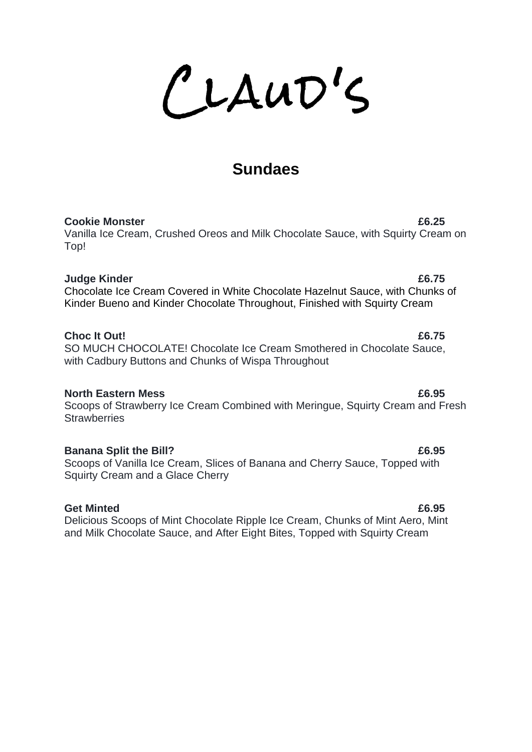LLAUD'S

# **Sundaes**

### **Cookie Monster £6.25**

Vanilla Ice Cream, Crushed Oreos and Milk Chocolate Sauce, with Squirty Cream on Top!

### **Judge Kinder £6.75**

Chocolate Ice Cream Covered in White Chocolate Hazelnut Sauce, with Chunks of Kinder Bueno and Kinder Chocolate Throughout, Finished with Squirty Cream

## **Choc It Out!**  $\overline{6.75}$

SO MUCH CHOCOLATE! Chocolate Ice Cream Smothered in Chocolate Sauce, with Cadbury Buttons and Chunks of Wispa Throughout

## **North Eastern Mess £6.95**

Scoops of Strawberry Ice Cream Combined with Meringue, Squirty Cream and Fresh **Strawberries** 

## **Banana Split the Bill? EXECUTE: EXECUTE: EXECUTE: EXECUTE: EXECUTE: EXECUTE: EXECUTE: EXECUTE: EXECUTE: EXECUTE: EXECUTE: EXECUTE: EXECUTE: EXECUTE: EXECUTE: EXECUTE: EXECUTE: EXECUTE:**

Scoops of Vanilla Ice Cream, Slices of Banana and Cherry Sauce, Topped with Squirty Cream and a Glace Cherry

## Get Minted **E6.95**

Delicious Scoops of Mint Chocolate Ripple Ice Cream, Chunks of Mint Aero, Mint and Milk Chocolate Sauce, and After Eight Bites, Topped with Squirty Cream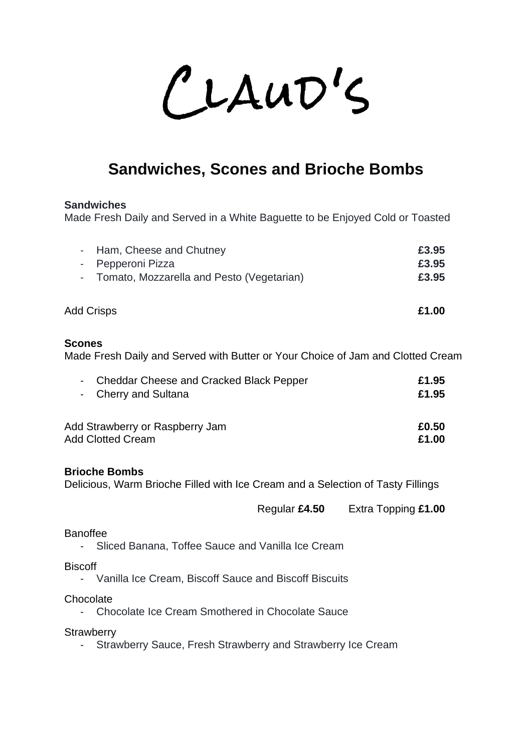CLAUD'S

# **Sandwiches, Scones and Brioche Bombs**

### **Sandwiches**

Made Fresh Daily and Served in a White Baguette to be Enjoyed Cold or Toasted

| - Ham, Cheese and Chutney                   | £3.95 |
|---------------------------------------------|-------|
| - Pepperoni Pizza                           | £3.95 |
| - Tomato, Mozzarella and Pesto (Vegetarian) | £3.95 |
| Add Crisps                                  | £1.00 |

### **Scones**

Made Fresh Daily and Served with Butter or Your Choice of Jam and Clotted Cream

| - Cheddar Cheese and Cracked Black Pepper | £1.95 |
|-------------------------------------------|-------|
| - Cherry and Sultana                      | £1.95 |
| Add Strawberry or Raspberry Jam           | £0.50 |
| <b>Add Clotted Cream</b>                  | £1.00 |

### **Brioche Bombs**

Delicious, Warm Brioche Filled with Ice Cream and a Selection of Tasty Fillings

Regular **£4.50** Extra Topping **£1.00**

### Banoffee

- Sliced Banana, Toffee Sauce and Vanilla Ice Cream

**Biscoff** 

- Vanilla Ice Cream, Biscoff Sauce and Biscoff Biscuits

**Chocolate** 

- Chocolate Ice Cream Smothered in Chocolate Sauce

**Strawberry** 

- Strawberry Sauce, Fresh Strawberry and Strawberry Ice Cream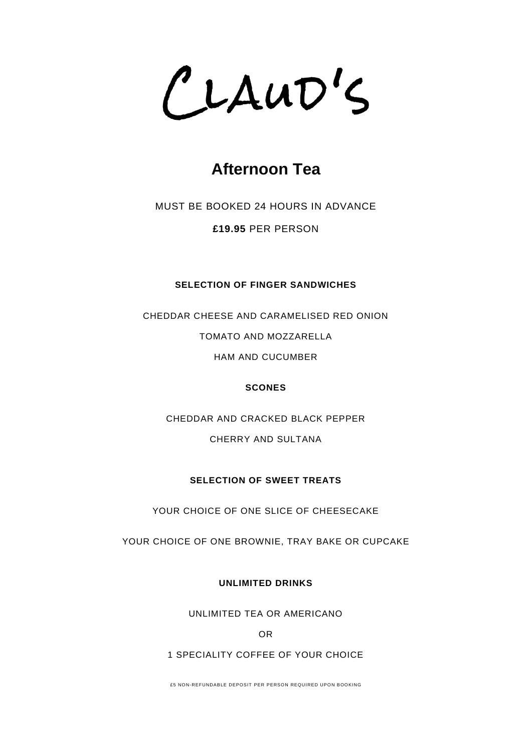CLAUD'S

# **Afternoon Tea**

MUST BE BOOKED 24 HOURS IN ADVANCE

**£19.95** PER PERSON

### **SELECTION OF FINGER SANDWICHES**

CHEDDAR CHEESE AND CARAMELISED RED ONION TOMATO AND MOZZARELLA HAM AND CUCUMBER

### **SCONES**

CHEDDAR AND CRACKED BLACK PEPPER CHERRY AND SULTANA

### **SELECTION OF SWEET TREATS**

YOUR CHOICE OF ONE SLICE OF CHEESECAKE

YOUR CHOICE OF ONE BROWNIE, TRAY BAKE OR CUPCAKE

**UNLIMITED DRINKS**

UNLIMITED TEA OR AMERICANO

OR

### 1 SPECIALITY COFFEE OF YOUR CHOICE

£5 NON-REFUNDABLE DEPOSIT PER PERSON REQUIRED UPON BOOKING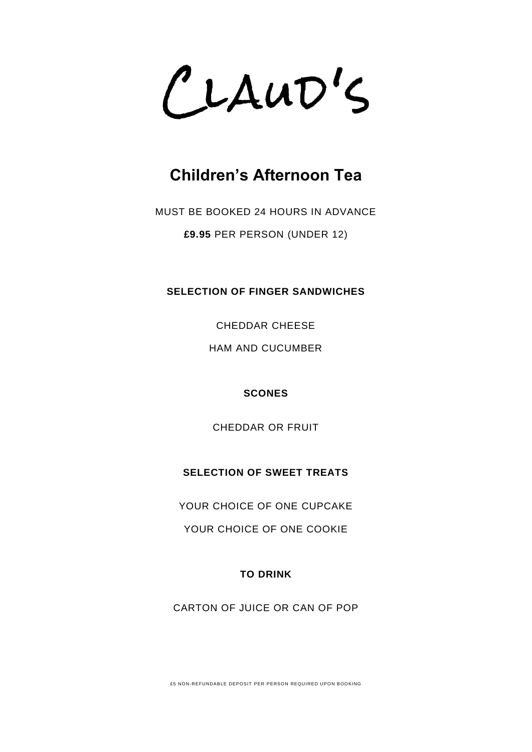CLAUD'S

# **Children's Afternoon Tea**

MUST BE BOOKED 24 HOURS IN ADVANCE **£9.95** PER PERSON (UNDER 12)

**SELECTION OF FINGER SANDWICHES**

CHEDDAR CHEESE

HAM AND CUCUMBER

**SCONES**

CHEDDAR OR FRUIT

**SELECTION OF SWEET TREATS**

YOUR CHOICE OF ONE CUPCAKE

YOUR CHOICE OF ONE COOKIE

**TO DRINK**

CARTON OF JUICE OR CAN OF POP

£5 NON-REFUNDABLE DEPOSIT PER PERSON REQUIRED UPON BOOKING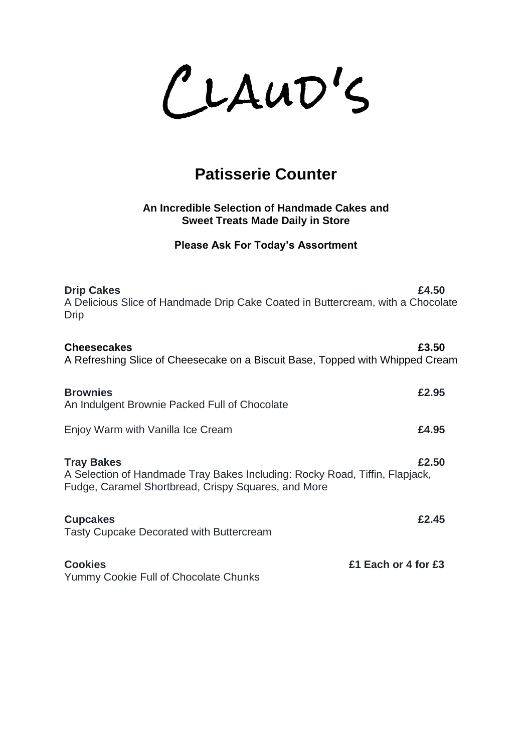$CLAUD'S$ 

# **Patisserie Counter**

## **An Incredible Selection of Handmade Cakes and Sweet Treats Made Daily in Store**

**Please Ask For Today's Assortment**

| <b>Drip Cakes</b><br>A Delicious Slice of Handmade Drip Cake Coated in Buttercream, with a Chocolate<br><b>Drip</b>                                     | £4.50 |
|---------------------------------------------------------------------------------------------------------------------------------------------------------|-------|
| <b>Cheesecakes</b><br>A Refreshing Slice of Cheesecake on a Biscuit Base, Topped with Whipped Cream                                                     | £3.50 |
| <b>Brownies</b><br>An Indulgent Brownie Packed Full of Chocolate                                                                                        | £2.95 |
| Enjoy Warm with Vanilla Ice Cream                                                                                                                       | £4.95 |
| <b>Tray Bakes</b><br>A Selection of Handmade Tray Bakes Including: Rocky Road, Tiffin, Flapjack,<br>Fudge, Caramel Shortbread, Crispy Squares, and More | £2.50 |
| <b>Cupcakes</b><br><b>Tasty Cupcake Decorated with Buttercream</b>                                                                                      | £2.45 |
| <b>Cookies</b><br>£1 Each or 4 for £3<br>Yummy Cookie Full of Chocolate Chunks                                                                          |       |